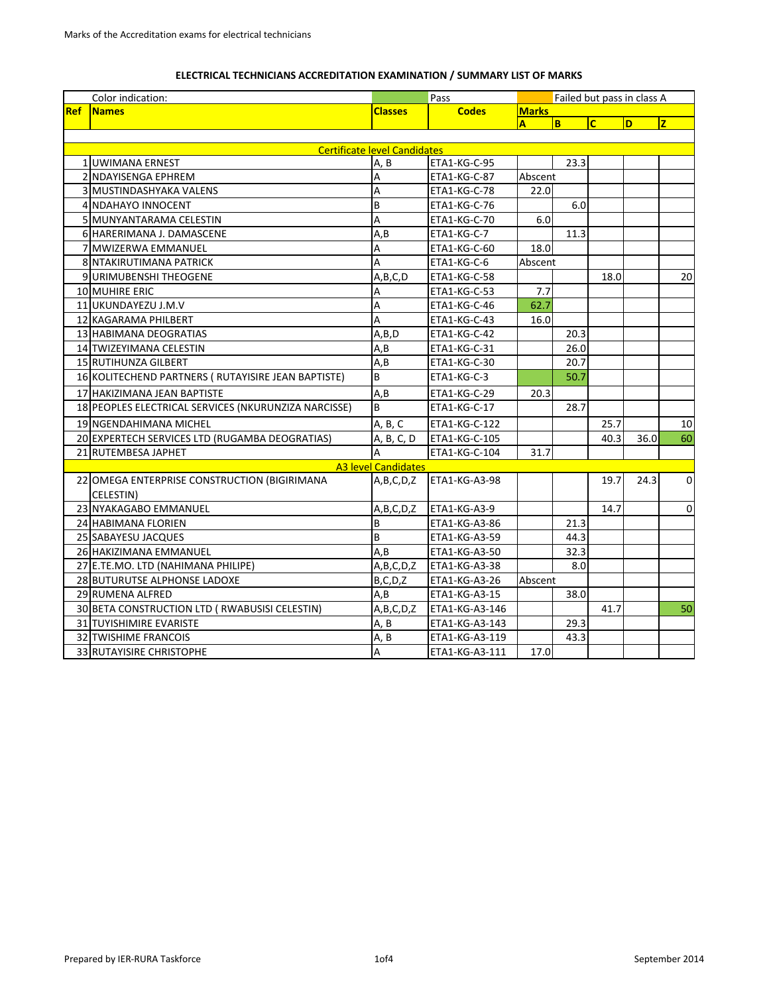## **ELECTRICAL TECHNICIANS ACCREDITATION EXAMINATION / SUMMARY LIST OF MARKS**

|            | Color indication:                                    |                                     | Pass                 | Failed but pass in class A |      |                         |      |              |
|------------|------------------------------------------------------|-------------------------------------|----------------------|----------------------------|------|-------------------------|------|--------------|
| <b>Ref</b> | <b>Names</b>                                         | <b>Classes</b>                      | <b>Codes</b>         | <b>Marks</b>               |      |                         |      |              |
|            |                                                      |                                     |                      | A                          | lв.  | $\overline{\mathsf{c}}$ | D    | Iz.          |
|            |                                                      |                                     |                      |                            |      |                         |      |              |
|            |                                                      | <b>Certificate level Candidates</b> |                      |                            |      |                         |      |              |
|            | 1 UWIMANA ERNEST                                     | A, B                                | ETA1-KG-C-95         |                            | 23.3 |                         |      |              |
|            | 2 NDAYISENGA EPHREM                                  | A                                   | ETA1-KG-C-87         | Abscent                    |      |                         |      |              |
|            | 3 MUSTINDASHYAKA VALENS                              | A                                   | ETA1-KG-C-78         | 22.0                       |      |                         |      |              |
|            | 4 NDAHAYO INNOCENT                                   | B                                   | ETA1-KG-C-76         |                            | 6.0  |                         |      |              |
|            | 5 MUNYANTARAMA CELESTIN                              | A                                   | ETA1-KG-C-70         | 6.0                        |      |                         |      |              |
|            | 6 HARERIMANA J. DAMASCENE                            | A,B                                 | ETA1-KG-C-7          |                            | 11.3 |                         |      |              |
|            | 7 MWIZERWA EMMANUEL                                  | А                                   | ETA1-KG-C-60         | 18.0                       |      |                         |      |              |
|            | 8 NTAKIRUTIMANA PATRICK                              | A                                   | ETA1-KG-C-6          | Abscent                    |      |                         |      |              |
|            | 9 URIMUBENSHI THEOGENE                               | A,B,C,D                             | ETA1-KG-C-58         |                            |      | 18.0                    |      | 20           |
|            | 10 MUHIRE ERIC                                       | А                                   | ETA1-KG-C-53         | 7.7                        |      |                         |      |              |
|            | 11 UKUNDAYEZU J.M.V                                  | A                                   | ETA1-KG-C-46         | 62.7                       |      |                         |      |              |
|            | 12 KAGARAMA PHILBERT                                 | A                                   | ETA1-KG-C-43         | 16.0                       |      |                         |      |              |
|            | 13 HABIMANA DEOGRATIAS                               | A,B,D                               | ETA1-KG-C-42         |                            | 20.3 |                         |      |              |
|            | 14 TWIZEYIMANA CELESTIN                              | A, B                                | ETA1-KG-C-31         |                            | 26.0 |                         |      |              |
|            | 15 RUTIHUNZA GILBERT                                 | A.B                                 | ETA1-KG-C-30         |                            | 20.7 |                         |      |              |
|            | 16 KOLITECHEND PARTNERS ( RUTAYISIRE JEAN BAPTISTE)  | B                                   | ETA1-KG-C-3          |                            | 50.7 |                         |      |              |
|            | 17 HAKIZIMANA JEAN BAPTISTE                          | A, B                                | ETA1-KG-C-29         | 20.3                       |      |                         |      |              |
|            | 18 PEOPLES ELECTRICAL SERVICES (NKURUNZIZA NARCISSE) | B                                   | ETA1-KG-C-17         |                            | 28.7 |                         |      |              |
|            | 19 NGENDAHIMANA MICHEL                               | A, B, C                             | ETA1-KG-C-122        |                            |      | 25.7                    |      | $10\,$       |
|            | 20 EXPERTECH SERVICES LTD (RUGAMBA DEOGRATIAS)       | A, B, C, D                          | ETA1-KG-C-105        |                            |      | 40.3                    | 36.0 | 60           |
|            | 21 RUTEMBESA JAPHET                                  | А                                   | ETA1-KG-C-104        | 31.7                       |      |                         |      |              |
|            |                                                      | <b>A3 level Candidates</b>          |                      |                            |      |                         |      |              |
|            | 22 OMEGA ENTERPRISE CONSTRUCTION (BIGIRIMANA         | A,B,C,D,Z                           | <b>ETA1-KG-A3-98</b> |                            |      | 19.7                    | 24.3 | $\mathbf{0}$ |
|            | CELESTIN)                                            |                                     |                      |                            |      |                         |      |              |
|            | 23 NYAKAGABO EMMANUEL                                | A, B, C, D, Z                       | ETA1-KG-A3-9         |                            |      | 14.7                    |      | $\mathbf 0$  |
|            | 24 HABIMANA FLORIEN                                  | B                                   | ETA1-KG-A3-86        |                            | 21.3 |                         |      |              |
|            | 25 SABAYESU JACQUES                                  | B                                   | ETA1-KG-A3-59        |                            | 44.3 |                         |      |              |
|            | 26 HAKIZIMANA EMMANUEL                               | A.B                                 | ETA1-KG-A3-50        |                            | 32.3 |                         |      |              |
|            | 27 E.TE.MO. LTD (NAHIMANA PHILIPE)                   | A, B, C, D, Z                       | ETA1-KG-A3-38        |                            | 8.0  |                         |      |              |
|            | 28 BUTURUTSE ALPHONSE LADOXE                         | B, C, D, Z                          | ETA1-KG-A3-26        | Abscent                    |      |                         |      |              |
|            | 29 RUMENA ALFRED                                     | A,B                                 | ETA1-KG-A3-15        |                            | 38.0 |                         |      |              |
|            | 30 BETA CONSTRUCTION LTD ( RWABUSISI CELESTIN)       | A,B,C,D,Z                           | ETA1-KG-A3-146       |                            |      | 41.7                    |      | 50           |
|            | 31 TUYISHIMIRE EVARISTE                              | A, B                                | ETA1-KG-A3-143       |                            | 29.3 |                         |      |              |
|            | 32 TWISHIME FRANCOIS                                 | A, B                                | ETA1-KG-A3-119       |                            | 43.3 |                         |      |              |
|            | 33 RUTAYISIRE CHRISTOPHE                             | A                                   | ETA1-KG-A3-111       | 17.0                       |      |                         |      |              |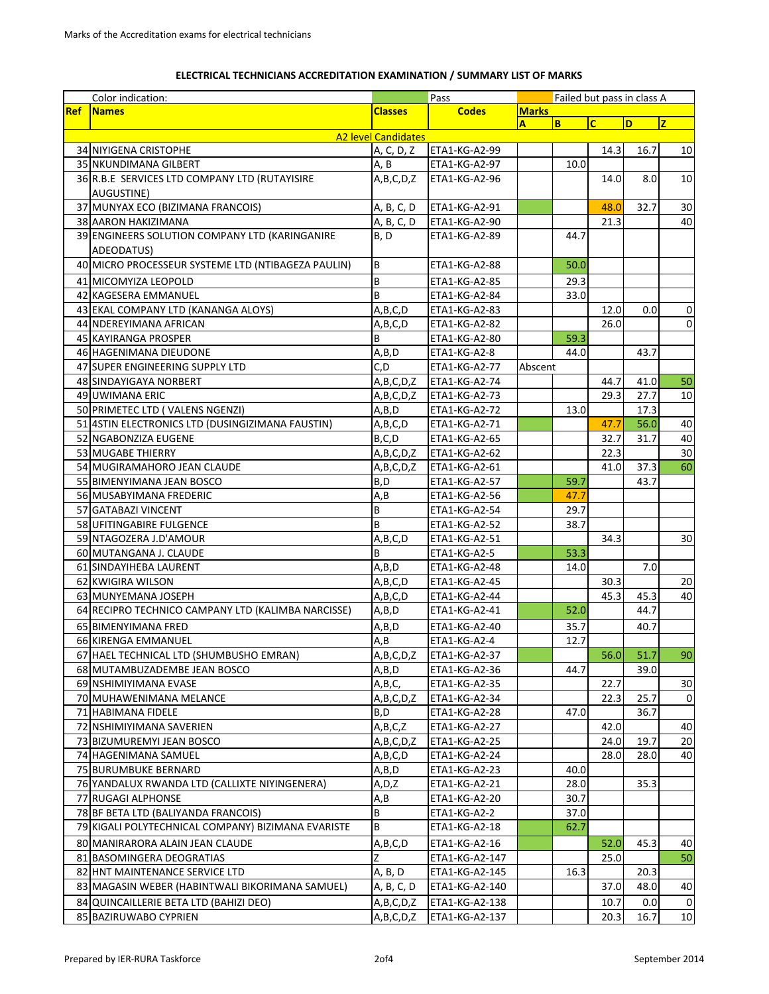## **ELECTRICAL TECHNICIANS ACCREDITATION EXAMINATION / SUMMARY LIST OF MARKS**

|            | Color indication:<br>Pass                          |                                |                      |              | Failed but pass in class A |                         |      |             |  |
|------------|----------------------------------------------------|--------------------------------|----------------------|--------------|----------------------------|-------------------------|------|-------------|--|
| <b>Ref</b> | <b>Names</b>                                       | <b>Codes</b><br><b>Classes</b> |                      | <b>Marks</b> |                            |                         |      |             |  |
|            |                                                    |                                |                      | A            | B                          | $\overline{\mathsf{c}}$ | D    | z           |  |
|            |                                                    | <b>A2 level Candidates</b>     |                      |              |                            |                         |      |             |  |
|            | 34 NIYIGENA CRISTOPHE                              | A, C, D, Z                     | <b>ETA1-KG-A2-99</b> |              |                            | 14.3                    | 16.7 | 10          |  |
|            | 35 NKUNDIMANA GILBERT                              | A, B                           | ETA1-KG-A2-97        |              | 10.0                       |                         |      |             |  |
|            | 36 R.B.E SERVICES LTD COMPANY LTD (RUTAYISIRE      | A,B,C,D,Z                      | ETA1-KG-A2-96        |              |                            | 14.0                    | 8.0  | 10          |  |
|            | AUGUSTINE)                                         |                                |                      |              |                            |                         |      |             |  |
|            | 37 MUNYAX ECO (BIZIMANA FRANCOIS)                  | A, B, C, D                     | ETA1-KG-A2-91        |              |                            | 48.0                    | 32.7 | $30\,$      |  |
|            | 38 AARON HAKIZIMANA                                | A, B, C, D                     | ETA1-KG-A2-90        |              |                            | 21.3                    |      | 40          |  |
|            | 39 ENGINEERS SOLUTION COMPANY LTD (KARINGANIRE     | B, D                           | ETA1-KG-A2-89        |              | 44.7                       |                         |      |             |  |
|            | ADEODATUS)                                         | B                              |                      |              |                            |                         |      |             |  |
|            | 40 MICRO PROCESSEUR SYSTEME LTD (NTIBAGEZA PAULIN) |                                | ETA1-KG-A2-88        |              | 50.0                       |                         |      |             |  |
|            | 41 MICOMYIZA LEOPOLD                               | $\sf B$                        | ETA1-KG-A2-85        |              | 29.3                       |                         |      |             |  |
|            | 42 KAGESERA EMMANUEL                               | B                              | ETA1-KG-A2-84        |              | 33.0                       |                         |      |             |  |
|            | 43 EKAL COMPANY LTD (KANANGA ALOYS)                | A,B,C,D                        | ETA1-KG-A2-83        |              |                            | 12.0                    | 0.0  | $\pmb{0}$   |  |
|            | 44 NDEREYIMANA AFRICAN                             | A,B,C,D                        | ETA1-KG-A2-82        |              |                            | 26.0                    |      | $\pmb{0}$   |  |
|            | 45 KAYIRANGA PROSPER                               | B                              | ETA1-KG-A2-80        |              | 59.3                       |                         |      |             |  |
|            | 46 HAGENIMANA DIEUDONE                             | A,B,D                          | ETA1-KG-A2-8         |              | 44.0                       |                         | 43.7 |             |  |
|            | 47 SUPER ENGINEERING SUPPLY LTD                    | C,D                            | ETA1-KG-A2-77        | Abscent      |                            |                         |      |             |  |
|            | 48 SINDAYIGAYA NORBERT                             | A,B,C,D,Z                      | ETA1-KG-A2-74        |              |                            | 44.7                    | 41.0 | 50          |  |
|            | 49 UWIMANA ERIC                                    | A,B,C,D,Z                      | ETA1-KG-A2-73        |              |                            | 29.3                    | 27.7 | 10          |  |
|            | 50 PRIMETEC LTD (VALENS NGENZI)                    | A,B,D                          | ETA1-KG-A2-72        |              | 13.0                       |                         | 17.3 |             |  |
|            | 51 4STIN ELECTRONICS LTD (DUSINGIZIMANA FAUSTIN)   | A,B,C,D                        | ETA1-KG-A2-71        |              |                            | 47.7                    | 56.0 | 40          |  |
|            | 52 NGABONZIZA EUGENE                               | B,C,D                          | ETA1-KG-A2-65        |              |                            | 32.7                    | 31.7 | $40\,$      |  |
|            | 53 MUGABE THIERRY                                  | A,B,C,D,Z                      | ETA1-KG-A2-62        |              |                            | 22.3                    |      | 30          |  |
|            | 54 MUGIRAMAHORO JEAN CLAUDE                        | A,B,C,D,Z                      | ETA1-KG-A2-61        |              |                            | 41.0                    | 37.3 | 60          |  |
|            | 55 BIMENYIMANA JEAN BOSCO                          | B,D                            | ETA1-KG-A2-57        |              | 59.7                       |                         | 43.7 |             |  |
|            | 56 MUSABYIMANA FREDERIC                            | A,B                            | ETA1-KG-A2-56        |              | 47.7                       |                         |      |             |  |
|            | 57 GATABAZI VINCENT                                | B                              | ETA1-KG-A2-54        |              | 29.7                       |                         |      |             |  |
|            | 58 UFITINGABIRE FULGENCE                           | B                              | ETA1-KG-A2-52        |              | 38.7                       |                         |      |             |  |
|            | 59 NTAGOZERA J.D'AMOUR                             | A,B,C,D                        | ETA1-KG-A2-51        |              |                            | 34.3                    |      | 30          |  |
|            | 60 MUTANGANA J. CLAUDE                             | B                              | ETA1-KG-A2-5         |              | 53.3                       |                         |      |             |  |
|            | 61 SINDAYIHEBA LAURENT                             | A,B,D                          | ETA1-KG-A2-48        |              | 14.0                       |                         | 7.0  |             |  |
|            | 62 KWIGIRA WILSON                                  | A,B,C,D                        | ETA1-KG-A2-45        |              |                            | 30.3                    |      | 20          |  |
|            | 63 MUNYEMANA JOSEPH                                | A,B,C,D                        | ETA1-KG-A2-44        |              |                            | 45.3                    | 45.3 | 40          |  |
|            | 64 RECIPRO TECHNICO CAMPANY LTD (KALIMBA NARCISSE) | A,B,D                          | ETA1-KG-A2-41        |              | 52.0                       |                         | 44.7 |             |  |
|            | 65 BIMENYIMANA FRED                                | A,B,D                          | ETA1-KG-A2-40        |              | 35.7                       |                         | 40.7 |             |  |
|            | 66 KIRENGA EMMANUEL                                | A, B                           | ETA1-KG-A2-4         |              | 12.7                       |                         |      |             |  |
|            | 67 HAEL TECHNICAL LTD (SHUMBUSHO EMRAN)            | A,B,C,D,Z                      | ETA1-KG-A2-37        |              |                            | 56.0                    | 51.7 | 90          |  |
|            | 68 MUTAMBUZADEMBE JEAN BOSCO                       | A,B,D                          | ETA1-KG-A2-36        |              | 44.7                       |                         | 39.0 |             |  |
|            | 69 NSHIMIYIMANA EVASE                              | A,B,C,                         | ETA1-KG-A2-35        |              |                            | 22.7                    |      | $30\,$      |  |
|            | 70 MUHAWENIMANA MELANCE                            | A,B,C,D,Z                      | ETA1-KG-A2-34        |              |                            | 22.3                    | 25.7 | 0           |  |
|            | 71 HABIMANA FIDELE                                 | B,D                            | ETA1-KG-A2-28        |              | 47.0                       |                         | 36.7 |             |  |
|            | 72 NSHIMIYIMANA SAVERIEN                           | A,B,C,Z                        | ETA1-KG-A2-27        |              |                            | 42.0                    |      | 40          |  |
|            | 73 BIZUMUREMYI JEAN BOSCO                          | A,B,C,D,Z                      | ETA1-KG-A2-25        |              |                            | 24.0                    | 19.7 | $20\,$      |  |
|            | 74 HAGENIMANA SAMUEL                               | A,B,C,D                        | ETA1-KG-A2-24        |              |                            | 28.0                    | 28.0 | 40          |  |
|            | 75 BURUMBUKE BERNARD                               | A,B,D                          | ETA1-KG-A2-23        |              | 40.0                       |                         |      |             |  |
|            | 76 YANDALUX RWANDA LTD (CALLIXTE NIYINGENERA)      | A,D,Z                          | ETA1-KG-A2-21        |              | 28.0                       |                         | 35.3 |             |  |
|            | 77 RUGAGI ALPHONSE                                 | A,B                            | ETA1-KG-A2-20        |              | 30.7                       |                         |      |             |  |
|            | 78 BF BETA LTD (BALIYANDA FRANCOIS)                | В                              | ETA1-KG-A2-2         |              | 37.0                       |                         |      |             |  |
|            | 79 KIGALI POLYTECHNICAL COMPANY) BIZIMANA EVARISTE | B                              | ETA1-KG-A2-18        |              | 62.7                       |                         |      |             |  |
|            | 80 MANIRARORA ALAIN JEAN CLAUDE                    | A,B,C,D                        | ETA1-KG-A2-16        |              |                            | 52.0                    | 45.3 | 40          |  |
|            | 81 BASOMINGERA DEOGRATIAS                          |                                | ETA1-KG-A2-147       |              |                            | 25.0                    |      | 50          |  |
|            | 82 HNT MAINTENANCE SERVICE LTD                     | A, B, D                        | ETA1-KG-A2-145       |              | 16.3                       |                         | 20.3 |             |  |
|            | 83 MAGASIN WEBER (HABINTWALI BIKORIMANA SAMUEL)    | A, B, C, D                     | ETA1-KG-A2-140       |              |                            | 37.0                    | 48.0 | 40          |  |
|            | 84 QUINCAILLERIE BETA LTD (BAHIZI DEO)             | A,B,C,D,Z                      | ETA1-KG-A2-138       |              |                            | 10.7                    | 0.0  | $\mathbf 0$ |  |
|            | 85 BAZIRUWABO CYPRIEN                              | A,B,C,D,Z                      | ETA1-KG-A2-137       |              |                            | 20.3                    | 16.7 | 10          |  |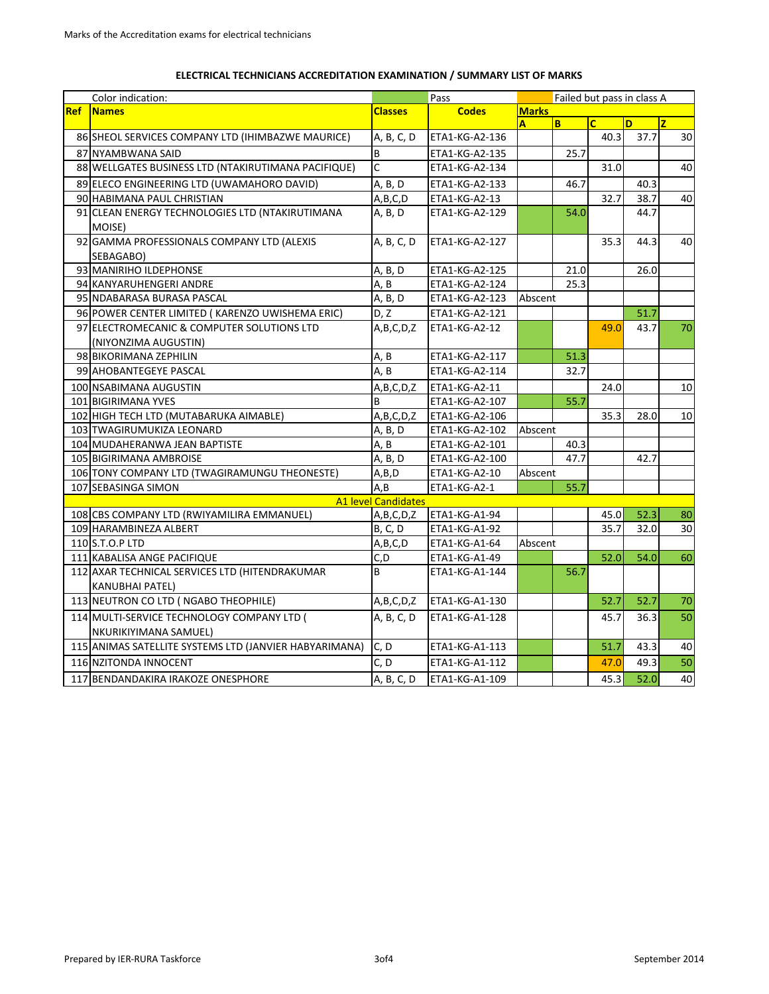| Color indication:<br>Pass<br>Failed but pass in class A<br><b>Ref</b><br><b>Marks</b><br><b>Names</b><br><b>Codes</b><br><b>Classes</b><br>$\overline{c}$<br>B<br>D<br>$\overline{z}$<br>$\mathbf{A}$<br>86 SHEOL SERVICES COMPANY LTD (IHIMBAZWE MAURICE)<br>ETA1-KG-A2-136<br>40.3<br>37.7<br>A, B, C, D<br>87 NYAMBWANA SAID<br>B<br>ETA1-KG-A2-135<br>25.7<br>$\mathsf{C}$<br>88 WELLGATES BUSINESS LTD (NTAKIRUTIMANA PACIFIQUE)<br>ETA1-KG-A2-134<br>31.0<br>40.3<br>89 ELECO ENGINEERING LTD (UWAMAHORO DAVID)<br>A, B, D<br>46.7<br>ETA1-KG-A2-133<br>32.7<br>38.7<br>90 HABIMANA PAUL CHRISTIAN<br>A, B, C, D<br>ETA1-KG-A2-13<br>91 CLEAN ENERGY TECHNOLOGIES LTD (NTAKIRUTIMANA<br>54.0<br>A, B, D<br>44.7<br>ETA1-KG-A2-129<br>MOISE)<br>92 GAMMA PROFESSIONALS COMPANY LTD (ALEXIS<br>ETA1-KG-A2-127<br>35.3<br>44.3<br>A, B, C, D<br>SEBAGABO)<br>93 MANIRIHO ILDEPHONSE<br>A, B, D<br>ETA1-KG-A2-125<br>21.0<br>26.0<br>A, B<br>25.3<br>94 KANYARUHENGERI ANDRE<br>ETA1-KG-A2-124<br>95 NDABARASA BURASA PASCAL<br>A, B, D<br>ETA1-KG-A2-123<br>Abscent<br>96 POWER CENTER LIMITED (KARENZO UWISHEMA ERIC)<br>D, Z<br>ETA1-KG-A2-121<br>51.7<br>97 ELECTROMECANIC & COMPUTER SOLUTIONS LTD<br>A,B,C,D,Z<br>43.7<br>ETA1-KG-A2-12<br>49.0<br>(NIYONZIMA AUGUSTIN)<br>A, B<br>51.3<br>98 BIKORIMANA ZEPHILIN<br>ETA1-KG-A2-117<br>99 AHOBANTEGEYE PASCAL<br>A, B<br>ETA1-KG-A2-114<br>32.7<br>100 NSABIMANA AUGUSTIN<br>ETA1-KG-A2-11<br>24.0<br>A,B,C,D,Z<br><sub>R</sub><br>55.7<br>101 BIGIRIMANA YVES<br>ETA1-KG-A2-107<br>35.3<br>102 HIGH TECH LTD (MUTABARUKA AIMABLE)<br>A,B,C,D,Z<br>ETA1-KG-A2-106<br>28.0<br>103 TWAGIRUMUKIZA LEONARD<br>A, B, D<br>ETA1-KG-A2-102<br>Abscent<br>104 MUDAHERANWA JEAN BAPTISTE<br>A, B<br>ETA1-KG-A2-101<br>40.3<br>47.7<br>42.7<br>105 BIGIRIMANA AMBROISE<br>A, B, D<br>ETA1-KG-A2-100<br>106 TONY COMPANY LTD (TWAGIRAMUNGU THEONESTE)<br>A, B, D<br>ETA1-KG-A2-10<br>Abscent<br>A, B<br>107 SEBASINGA SIMON<br>55.7<br>ETA1-KG-A2-1<br><b>A1 level Candidates</b><br>108 CBS COMPANY LTD (RWIYAMILIRA EMMANUEL)<br>ETA1-KG-A1-94<br>52.3<br>80<br>45.0<br>A, B, C, D, Z<br>35.7<br>109 HARAMBINEZA ALBERT<br><b>B</b> , C, D<br>32.0<br>30<br>ETA1-KG-A1-92<br>110 S.T.O.P LTD<br>A,B,C,D<br>ETA1-KG-A1-64<br>Abscent<br>52.0<br>54.0<br>111 KABALISA ANGE PACIFIQUE<br>C, D<br>60<br>ETA1-KG-A1-49<br>112 AXAR TECHNICAL SERVICES LTD (HITENDRAKUMAR<br>B<br>56.7<br>ETA1-KG-A1-144<br><b>KANUBHAI PATEL)</b><br>113 NEUTRON CO LTD ( NGABO THEOPHILE)<br>52.7<br>52.7<br>A,B,C,D,Z<br>ETA1-KG-A1-130<br>114 MULTI-SERVICE TECHNOLOGY COMPANY LTD (<br>A, B, C, D<br>ETA1-KG-A1-128<br>45.7<br>36.3<br>NKURIKIYIMANA SAMUEL)<br>115 ANIMAS SATELLITE SYSTEMS LTD (JANVIER HABYARIMANA)<br>C, D<br>ETA1-KG-A1-113<br>51.7<br>43.3<br>116 NZITONDA INNOCENT<br>C, D<br>ETA1-KG-A1-112<br>47.0<br>49.3<br>45.3<br>52.0<br>117 BENDANDAKIRA IRAKOZE ONESPHORE<br>A, B, C, D<br>ETA1-KG-A1-109 |  |  |  |  |  |  |  |    |
|---------------------------------------------------------------------------------------------------------------------------------------------------------------------------------------------------------------------------------------------------------------------------------------------------------------------------------------------------------------------------------------------------------------------------------------------------------------------------------------------------------------------------------------------------------------------------------------------------------------------------------------------------------------------------------------------------------------------------------------------------------------------------------------------------------------------------------------------------------------------------------------------------------------------------------------------------------------------------------------------------------------------------------------------------------------------------------------------------------------------------------------------------------------------------------------------------------------------------------------------------------------------------------------------------------------------------------------------------------------------------------------------------------------------------------------------------------------------------------------------------------------------------------------------------------------------------------------------------------------------------------------------------------------------------------------------------------------------------------------------------------------------------------------------------------------------------------------------------------------------------------------------------------------------------------------------------------------------------------------------------------------------------------------------------------------------------------------------------------------------------------------------------------------------------------------------------------------------------------------------------------------------------------------------------------------------------------------------------------------------------------------------------------------------------------------------------------------------------------------------------------------------------------------------------------------------------------------------------------------------------------------------------------------------------------------------------------------------------------------------------------------------------------------------------------------------------------------------------------------------------------------------------------------------------------------------------------|--|--|--|--|--|--|--|----|
|                                                                                                                                                                                                                                                                                                                                                                                                                                                                                                                                                                                                                                                                                                                                                                                                                                                                                                                                                                                                                                                                                                                                                                                                                                                                                                                                                                                                                                                                                                                                                                                                                                                                                                                                                                                                                                                                                                                                                                                                                                                                                                                                                                                                                                                                                                                                                                                                                                                                                                                                                                                                                                                                                                                                                                                                                                                                                                                                                         |  |  |  |  |  |  |  |    |
|                                                                                                                                                                                                                                                                                                                                                                                                                                                                                                                                                                                                                                                                                                                                                                                                                                                                                                                                                                                                                                                                                                                                                                                                                                                                                                                                                                                                                                                                                                                                                                                                                                                                                                                                                                                                                                                                                                                                                                                                                                                                                                                                                                                                                                                                                                                                                                                                                                                                                                                                                                                                                                                                                                                                                                                                                                                                                                                                                         |  |  |  |  |  |  |  |    |
|                                                                                                                                                                                                                                                                                                                                                                                                                                                                                                                                                                                                                                                                                                                                                                                                                                                                                                                                                                                                                                                                                                                                                                                                                                                                                                                                                                                                                                                                                                                                                                                                                                                                                                                                                                                                                                                                                                                                                                                                                                                                                                                                                                                                                                                                                                                                                                                                                                                                                                                                                                                                                                                                                                                                                                                                                                                                                                                                                         |  |  |  |  |  |  |  | 30 |
|                                                                                                                                                                                                                                                                                                                                                                                                                                                                                                                                                                                                                                                                                                                                                                                                                                                                                                                                                                                                                                                                                                                                                                                                                                                                                                                                                                                                                                                                                                                                                                                                                                                                                                                                                                                                                                                                                                                                                                                                                                                                                                                                                                                                                                                                                                                                                                                                                                                                                                                                                                                                                                                                                                                                                                                                                                                                                                                                                         |  |  |  |  |  |  |  |    |
|                                                                                                                                                                                                                                                                                                                                                                                                                                                                                                                                                                                                                                                                                                                                                                                                                                                                                                                                                                                                                                                                                                                                                                                                                                                                                                                                                                                                                                                                                                                                                                                                                                                                                                                                                                                                                                                                                                                                                                                                                                                                                                                                                                                                                                                                                                                                                                                                                                                                                                                                                                                                                                                                                                                                                                                                                                                                                                                                                         |  |  |  |  |  |  |  | 40 |
|                                                                                                                                                                                                                                                                                                                                                                                                                                                                                                                                                                                                                                                                                                                                                                                                                                                                                                                                                                                                                                                                                                                                                                                                                                                                                                                                                                                                                                                                                                                                                                                                                                                                                                                                                                                                                                                                                                                                                                                                                                                                                                                                                                                                                                                                                                                                                                                                                                                                                                                                                                                                                                                                                                                                                                                                                                                                                                                                                         |  |  |  |  |  |  |  |    |
|                                                                                                                                                                                                                                                                                                                                                                                                                                                                                                                                                                                                                                                                                                                                                                                                                                                                                                                                                                                                                                                                                                                                                                                                                                                                                                                                                                                                                                                                                                                                                                                                                                                                                                                                                                                                                                                                                                                                                                                                                                                                                                                                                                                                                                                                                                                                                                                                                                                                                                                                                                                                                                                                                                                                                                                                                                                                                                                                                         |  |  |  |  |  |  |  | 40 |
|                                                                                                                                                                                                                                                                                                                                                                                                                                                                                                                                                                                                                                                                                                                                                                                                                                                                                                                                                                                                                                                                                                                                                                                                                                                                                                                                                                                                                                                                                                                                                                                                                                                                                                                                                                                                                                                                                                                                                                                                                                                                                                                                                                                                                                                                                                                                                                                                                                                                                                                                                                                                                                                                                                                                                                                                                                                                                                                                                         |  |  |  |  |  |  |  |    |
|                                                                                                                                                                                                                                                                                                                                                                                                                                                                                                                                                                                                                                                                                                                                                                                                                                                                                                                                                                                                                                                                                                                                                                                                                                                                                                                                                                                                                                                                                                                                                                                                                                                                                                                                                                                                                                                                                                                                                                                                                                                                                                                                                                                                                                                                                                                                                                                                                                                                                                                                                                                                                                                                                                                                                                                                                                                                                                                                                         |  |  |  |  |  |  |  | 40 |
|                                                                                                                                                                                                                                                                                                                                                                                                                                                                                                                                                                                                                                                                                                                                                                                                                                                                                                                                                                                                                                                                                                                                                                                                                                                                                                                                                                                                                                                                                                                                                                                                                                                                                                                                                                                                                                                                                                                                                                                                                                                                                                                                                                                                                                                                                                                                                                                                                                                                                                                                                                                                                                                                                                                                                                                                                                                                                                                                                         |  |  |  |  |  |  |  |    |
|                                                                                                                                                                                                                                                                                                                                                                                                                                                                                                                                                                                                                                                                                                                                                                                                                                                                                                                                                                                                                                                                                                                                                                                                                                                                                                                                                                                                                                                                                                                                                                                                                                                                                                                                                                                                                                                                                                                                                                                                                                                                                                                                                                                                                                                                                                                                                                                                                                                                                                                                                                                                                                                                                                                                                                                                                                                                                                                                                         |  |  |  |  |  |  |  |    |
|                                                                                                                                                                                                                                                                                                                                                                                                                                                                                                                                                                                                                                                                                                                                                                                                                                                                                                                                                                                                                                                                                                                                                                                                                                                                                                                                                                                                                                                                                                                                                                                                                                                                                                                                                                                                                                                                                                                                                                                                                                                                                                                                                                                                                                                                                                                                                                                                                                                                                                                                                                                                                                                                                                                                                                                                                                                                                                                                                         |  |  |  |  |  |  |  |    |
|                                                                                                                                                                                                                                                                                                                                                                                                                                                                                                                                                                                                                                                                                                                                                                                                                                                                                                                                                                                                                                                                                                                                                                                                                                                                                                                                                                                                                                                                                                                                                                                                                                                                                                                                                                                                                                                                                                                                                                                                                                                                                                                                                                                                                                                                                                                                                                                                                                                                                                                                                                                                                                                                                                                                                                                                                                                                                                                                                         |  |  |  |  |  |  |  |    |
|                                                                                                                                                                                                                                                                                                                                                                                                                                                                                                                                                                                                                                                                                                                                                                                                                                                                                                                                                                                                                                                                                                                                                                                                                                                                                                                                                                                                                                                                                                                                                                                                                                                                                                                                                                                                                                                                                                                                                                                                                                                                                                                                                                                                                                                                                                                                                                                                                                                                                                                                                                                                                                                                                                                                                                                                                                                                                                                                                         |  |  |  |  |  |  |  | 70 |
|                                                                                                                                                                                                                                                                                                                                                                                                                                                                                                                                                                                                                                                                                                                                                                                                                                                                                                                                                                                                                                                                                                                                                                                                                                                                                                                                                                                                                                                                                                                                                                                                                                                                                                                                                                                                                                                                                                                                                                                                                                                                                                                                                                                                                                                                                                                                                                                                                                                                                                                                                                                                                                                                                                                                                                                                                                                                                                                                                         |  |  |  |  |  |  |  |    |
|                                                                                                                                                                                                                                                                                                                                                                                                                                                                                                                                                                                                                                                                                                                                                                                                                                                                                                                                                                                                                                                                                                                                                                                                                                                                                                                                                                                                                                                                                                                                                                                                                                                                                                                                                                                                                                                                                                                                                                                                                                                                                                                                                                                                                                                                                                                                                                                                                                                                                                                                                                                                                                                                                                                                                                                                                                                                                                                                                         |  |  |  |  |  |  |  |    |
|                                                                                                                                                                                                                                                                                                                                                                                                                                                                                                                                                                                                                                                                                                                                                                                                                                                                                                                                                                                                                                                                                                                                                                                                                                                                                                                                                                                                                                                                                                                                                                                                                                                                                                                                                                                                                                                                                                                                                                                                                                                                                                                                                                                                                                                                                                                                                                                                                                                                                                                                                                                                                                                                                                                                                                                                                                                                                                                                                         |  |  |  |  |  |  |  | 10 |
|                                                                                                                                                                                                                                                                                                                                                                                                                                                                                                                                                                                                                                                                                                                                                                                                                                                                                                                                                                                                                                                                                                                                                                                                                                                                                                                                                                                                                                                                                                                                                                                                                                                                                                                                                                                                                                                                                                                                                                                                                                                                                                                                                                                                                                                                                                                                                                                                                                                                                                                                                                                                                                                                                                                                                                                                                                                                                                                                                         |  |  |  |  |  |  |  |    |
|                                                                                                                                                                                                                                                                                                                                                                                                                                                                                                                                                                                                                                                                                                                                                                                                                                                                                                                                                                                                                                                                                                                                                                                                                                                                                                                                                                                                                                                                                                                                                                                                                                                                                                                                                                                                                                                                                                                                                                                                                                                                                                                                                                                                                                                                                                                                                                                                                                                                                                                                                                                                                                                                                                                                                                                                                                                                                                                                                         |  |  |  |  |  |  |  | 10 |
|                                                                                                                                                                                                                                                                                                                                                                                                                                                                                                                                                                                                                                                                                                                                                                                                                                                                                                                                                                                                                                                                                                                                                                                                                                                                                                                                                                                                                                                                                                                                                                                                                                                                                                                                                                                                                                                                                                                                                                                                                                                                                                                                                                                                                                                                                                                                                                                                                                                                                                                                                                                                                                                                                                                                                                                                                                                                                                                                                         |  |  |  |  |  |  |  |    |
|                                                                                                                                                                                                                                                                                                                                                                                                                                                                                                                                                                                                                                                                                                                                                                                                                                                                                                                                                                                                                                                                                                                                                                                                                                                                                                                                                                                                                                                                                                                                                                                                                                                                                                                                                                                                                                                                                                                                                                                                                                                                                                                                                                                                                                                                                                                                                                                                                                                                                                                                                                                                                                                                                                                                                                                                                                                                                                                                                         |  |  |  |  |  |  |  |    |
|                                                                                                                                                                                                                                                                                                                                                                                                                                                                                                                                                                                                                                                                                                                                                                                                                                                                                                                                                                                                                                                                                                                                                                                                                                                                                                                                                                                                                                                                                                                                                                                                                                                                                                                                                                                                                                                                                                                                                                                                                                                                                                                                                                                                                                                                                                                                                                                                                                                                                                                                                                                                                                                                                                                                                                                                                                                                                                                                                         |  |  |  |  |  |  |  |    |
|                                                                                                                                                                                                                                                                                                                                                                                                                                                                                                                                                                                                                                                                                                                                                                                                                                                                                                                                                                                                                                                                                                                                                                                                                                                                                                                                                                                                                                                                                                                                                                                                                                                                                                                                                                                                                                                                                                                                                                                                                                                                                                                                                                                                                                                                                                                                                                                                                                                                                                                                                                                                                                                                                                                                                                                                                                                                                                                                                         |  |  |  |  |  |  |  |    |
|                                                                                                                                                                                                                                                                                                                                                                                                                                                                                                                                                                                                                                                                                                                                                                                                                                                                                                                                                                                                                                                                                                                                                                                                                                                                                                                                                                                                                                                                                                                                                                                                                                                                                                                                                                                                                                                                                                                                                                                                                                                                                                                                                                                                                                                                                                                                                                                                                                                                                                                                                                                                                                                                                                                                                                                                                                                                                                                                                         |  |  |  |  |  |  |  |    |
|                                                                                                                                                                                                                                                                                                                                                                                                                                                                                                                                                                                                                                                                                                                                                                                                                                                                                                                                                                                                                                                                                                                                                                                                                                                                                                                                                                                                                                                                                                                                                                                                                                                                                                                                                                                                                                                                                                                                                                                                                                                                                                                                                                                                                                                                                                                                                                                                                                                                                                                                                                                                                                                                                                                                                                                                                                                                                                                                                         |  |  |  |  |  |  |  |    |
|                                                                                                                                                                                                                                                                                                                                                                                                                                                                                                                                                                                                                                                                                                                                                                                                                                                                                                                                                                                                                                                                                                                                                                                                                                                                                                                                                                                                                                                                                                                                                                                                                                                                                                                                                                                                                                                                                                                                                                                                                                                                                                                                                                                                                                                                                                                                                                                                                                                                                                                                                                                                                                                                                                                                                                                                                                                                                                                                                         |  |  |  |  |  |  |  |    |
|                                                                                                                                                                                                                                                                                                                                                                                                                                                                                                                                                                                                                                                                                                                                                                                                                                                                                                                                                                                                                                                                                                                                                                                                                                                                                                                                                                                                                                                                                                                                                                                                                                                                                                                                                                                                                                                                                                                                                                                                                                                                                                                                                                                                                                                                                                                                                                                                                                                                                                                                                                                                                                                                                                                                                                                                                                                                                                                                                         |  |  |  |  |  |  |  |    |
|                                                                                                                                                                                                                                                                                                                                                                                                                                                                                                                                                                                                                                                                                                                                                                                                                                                                                                                                                                                                                                                                                                                                                                                                                                                                                                                                                                                                                                                                                                                                                                                                                                                                                                                                                                                                                                                                                                                                                                                                                                                                                                                                                                                                                                                                                                                                                                                                                                                                                                                                                                                                                                                                                                                                                                                                                                                                                                                                                         |  |  |  |  |  |  |  |    |
|                                                                                                                                                                                                                                                                                                                                                                                                                                                                                                                                                                                                                                                                                                                                                                                                                                                                                                                                                                                                                                                                                                                                                                                                                                                                                                                                                                                                                                                                                                                                                                                                                                                                                                                                                                                                                                                                                                                                                                                                                                                                                                                                                                                                                                                                                                                                                                                                                                                                                                                                                                                                                                                                                                                                                                                                                                                                                                                                                         |  |  |  |  |  |  |  |    |
|                                                                                                                                                                                                                                                                                                                                                                                                                                                                                                                                                                                                                                                                                                                                                                                                                                                                                                                                                                                                                                                                                                                                                                                                                                                                                                                                                                                                                                                                                                                                                                                                                                                                                                                                                                                                                                                                                                                                                                                                                                                                                                                                                                                                                                                                                                                                                                                                                                                                                                                                                                                                                                                                                                                                                                                                                                                                                                                                                         |  |  |  |  |  |  |  |    |
|                                                                                                                                                                                                                                                                                                                                                                                                                                                                                                                                                                                                                                                                                                                                                                                                                                                                                                                                                                                                                                                                                                                                                                                                                                                                                                                                                                                                                                                                                                                                                                                                                                                                                                                                                                                                                                                                                                                                                                                                                                                                                                                                                                                                                                                                                                                                                                                                                                                                                                                                                                                                                                                                                                                                                                                                                                                                                                                                                         |  |  |  |  |  |  |  | 70 |
|                                                                                                                                                                                                                                                                                                                                                                                                                                                                                                                                                                                                                                                                                                                                                                                                                                                                                                                                                                                                                                                                                                                                                                                                                                                                                                                                                                                                                                                                                                                                                                                                                                                                                                                                                                                                                                                                                                                                                                                                                                                                                                                                                                                                                                                                                                                                                                                                                                                                                                                                                                                                                                                                                                                                                                                                                                                                                                                                                         |  |  |  |  |  |  |  | 50 |
|                                                                                                                                                                                                                                                                                                                                                                                                                                                                                                                                                                                                                                                                                                                                                                                                                                                                                                                                                                                                                                                                                                                                                                                                                                                                                                                                                                                                                                                                                                                                                                                                                                                                                                                                                                                                                                                                                                                                                                                                                                                                                                                                                                                                                                                                                                                                                                                                                                                                                                                                                                                                                                                                                                                                                                                                                                                                                                                                                         |  |  |  |  |  |  |  | 40 |
|                                                                                                                                                                                                                                                                                                                                                                                                                                                                                                                                                                                                                                                                                                                                                                                                                                                                                                                                                                                                                                                                                                                                                                                                                                                                                                                                                                                                                                                                                                                                                                                                                                                                                                                                                                                                                                                                                                                                                                                                                                                                                                                                                                                                                                                                                                                                                                                                                                                                                                                                                                                                                                                                                                                                                                                                                                                                                                                                                         |  |  |  |  |  |  |  | 50 |
|                                                                                                                                                                                                                                                                                                                                                                                                                                                                                                                                                                                                                                                                                                                                                                                                                                                                                                                                                                                                                                                                                                                                                                                                                                                                                                                                                                                                                                                                                                                                                                                                                                                                                                                                                                                                                                                                                                                                                                                                                                                                                                                                                                                                                                                                                                                                                                                                                                                                                                                                                                                                                                                                                                                                                                                                                                                                                                                                                         |  |  |  |  |  |  |  | 40 |

## **ELECTRICAL TECHNICIANS ACCREDITATION EXAMINATION / SUMMARY LIST OF MARKS**